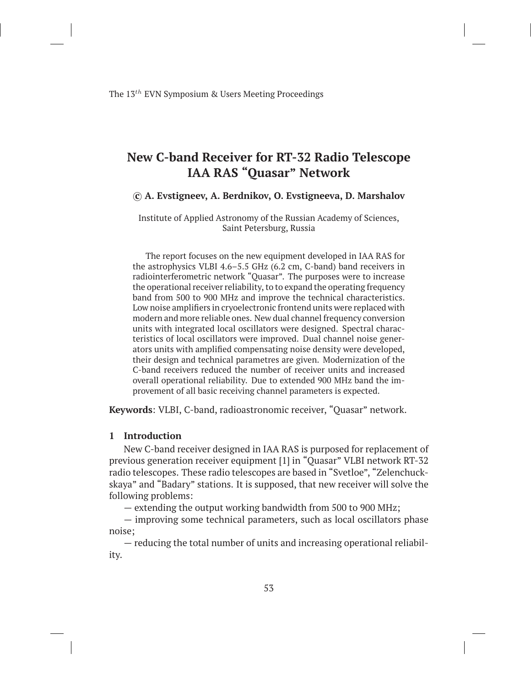# **New C-band Receiver for RT-32 Radio Telescope IAA RAS "Quasar" Network**

#### *⃝***c A. Evstigneev, A. Berdnikov, O. Evstigneeva, D. Marshalov**

Institute of Applied Astronomy of the Russian Academy of Sciences, Saint Petersburg, Russia

The report focuses on the new equipment developed in IAA RAS for the astrophysics VLBI 4.6–5.5 GHz (6.2 cm, C-band) band receivers in radiointerferometric network "Quasar". The purposes were to increase the operational receiver reliability, to to expand the operating frequency band from 500 to 900 MHz and improve the technical characteristics. Low noise amplifiers in cryoelectronic frontend units were replaced with modern and more reliable ones. New dual channel frequency conversion units with integrated local oscillators were designed. Spectral characteristics of local oscillators were improved. Dual channel noise generators units with amplified compensating noise density were developed, their design and technical parametres are given. Modernization of the C-band receivers reduced the number of receiver units and increased overall operational reliability. Due to extended 900 MHz band the improvement of all basic receiving channel parameters is expected.

**Keywords**: VLBI, C-band, radioastronomic receiver, "Quasar" network.

#### **1 Introduction**

New C-band receiver designed in IAA RAS is purposed for replacement of previous generation receiver equipment [1] in "Quasar" VLBI network RT-32 radio telescopes. These radio telescopes are based in "Svetloe", "Zelenchuckskaya" and "Badary" stations. It is supposed, that new receiver will solve the following problems:

— extending the output working bandwidth from 500 to 900 MHz;

— improving some technical parameters, such as local oscillators phase noise;

— reducing the total number of units and increasing operational reliability.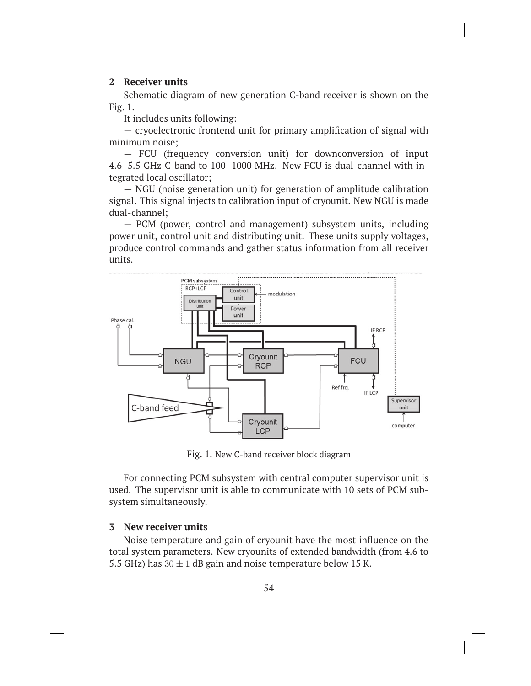## **2 Receiver units**

Schematic diagram of new generation C-band receiver is shown on the Fig. 1.

It includes units following:

— cryoelectronic frontend unit for primary amplification of signal with minimum noise;

— FCU (frequency conversion unit) for downconversion of input 4.6–5.5 GHz C-band to 100–1000 MHz. New FCU is dual-channel with integrated local oscillator;

— NGU (noise generation unit) for generation of amplitude calibration signal. This signal injects to calibration input of cryounit. New NGU is made dual-channel;

— PCM (power, control and management) subsystem units, including power unit, control unit and distributing unit. These units supply voltages, produce control commands and gather status information from all receiver units.



Fig. 1. New C-band receiver block diagram

For connecting PCM subsystem with central computer supervisor unit is used. The supervisor unit is able to communicate with 10 sets of PCM subsystem simultaneously.

## **3 New receiver units**

Noise temperature and gain of cryounit have the most influence on the total system parameters. New cryounits of extended bandwidth (from 4.6 to 5.5 GHz) has  $30 \pm 1$  dB gain and noise temperature below 15 K.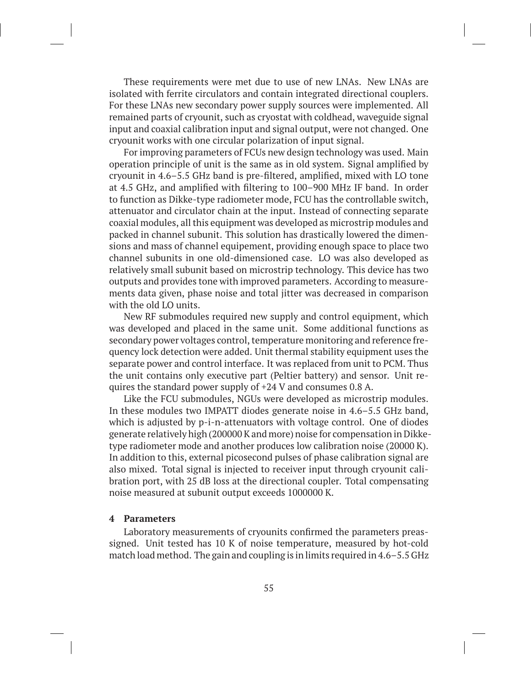These requirements were met due to use of new LNAs. New LNAs are isolated with ferrite circulators and contain integrated directional couplers. For these LNAs new secondary power supply sources were implemented. All remained parts of cryounit, such as cryostat with coldhead, waveguide signal input and coaxial calibration input and signal output, were not changed. One cryounit works with one circular polarization of input signal.

For improving parameters of FCUs new design technology was used. Main operation principle of unit is the same as in old system. Signal amplified by cryounit in 4.6–5.5 GHz band is pre-filtered, amplified, mixed with LO tone at 4.5 GHz, and amplified with filtering to 100–900 MHz IF band. In order to function as Dikke-type radiometer mode, FCU has the controllable switch, attenuator and circulator chain at the input. Instead of connecting separate coaxial modules, all this equipment was developed as microstrip modules and packed in channel subunit. This solution has drastically lowered the dimensions and mass of channel equipement, providing enough space to place two channel subunits in one old-dimensioned case. LO was also developed as relatively small subunit based on microstrip technology. This device has two outputs and provides tone with improved parameters. According to measurements data given, phase noise and total jitter was decreased in comparison with the old LO units.

New RF submodules required new supply and control equipment, which was developed and placed in the same unit. Some additional functions as secondary power voltages control, temperature monitoring and reference frequency lock detection were added. Unit thermal stability equipment uses the separate power and control interface. It was replaced from unit to PCM. Thus the unit contains only executive part (Peltier battery) and sensor. Unit requires the standard power supply of +24 V and consumes 0.8 A.

Like the FCU submodules, NGUs were developed as microstrip modules. In these modules two IMPATT diodes generate noise in 4.6–5.5 GHz band, which is adjusted by p-i-n-attenuators with voltage control. One of diodes generate relatively high (200000 K and more) noise for compensation in Dikketype radiometer mode and another produces low calibration noise (20000 K). In addition to this, external picosecond pulses of phase calibration signal are also mixed. Total signal is injected to receiver input through cryounit calibration port, with 25 dB loss at the directional coupler. Total compensating noise measured at subunit output exceeds 1000000 K.

### **4 Parameters**

Laboratory measurements of cryounits confirmed the parameters preassigned. Unit tested has 10 K of noise temperature, measured by hot-cold match load method. The gain and coupling is in limits required in 4.6–5.5 GHz